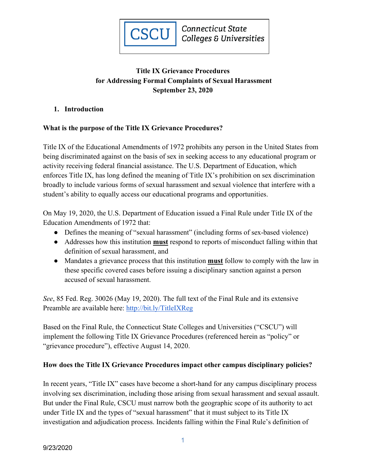

# **Title IX Grievance Procedures for Addressing Formal Complaints of Sexual Harassment September 23, 2020**

### **1. Introduction**

## **What is the purpose of the Title IX Grievance Procedures?**

Title IX of the Educational Amendments of 1972 prohibits any person in the United States from being discriminated against on the basis of sex in seeking access to any educational program or activity receiving federal financial assistance. The U.S. Department of Education, which enforces Title IX, has long defined the meaning of Title IX's prohibition on sex discrimination broadly to include various forms of sexual harassment and sexual violence that interfere with a student's ability to equally access our educational programs and opportunities.

On May 19, 2020, the U.S. Department of Education issued a Final Rule under Title IX of the Education Amendments of 1972 that:

- Defines the meaning of "sexual harassment" (including forms of sex-based violence)
- Addresses how this institution **must** respond to reports of misconduct falling within that definition of sexual harassment, and
- Mandates a grievance process that this institution **must** follow to comply with the law in these specific covered cases before issuing a disciplinary sanction against a person accused of sexual harassment.

*See*, 85 Fed. Reg. 30026 (May 19, 2020). The full text of the Final Rule and its extensive Preamble are available here:<http://bit.ly/TitleIXReg>

Based on the Final Rule, the Connecticut State Colleges and Universities ("CSCU") will implement the following Title IX Grievance Procedures (referenced herein as "policy" or "grievance procedure"), effective August 14, 2020.

## **How does the Title IX Grievance Procedures impact other campus disciplinary policies?**

In recent years, "Title IX" cases have become a short-hand for any campus disciplinary process involving sex discrimination, including those arising from sexual harassment and sexual assault. But under the Final Rule, CSCU must narrow both the geographic scope of its authority to act under Title IX and the types of "sexual harassment" that it must subject to its Title IX investigation and adjudication process. Incidents falling within the Final Rule's definition of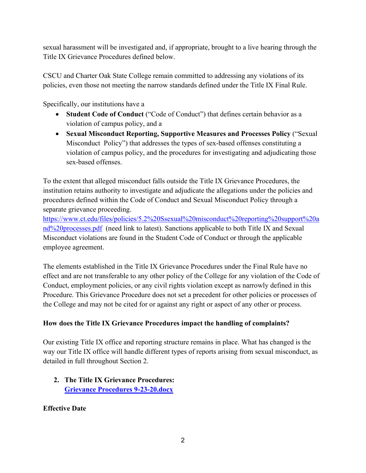sexual harassment will be investigated and, if appropriate, brought to a live hearing through the Title IX Grievance Procedures defined below.

CSCU and Charter Oak State College remain committed to addressing any violations of its policies, even those not meeting the narrow standards defined under the Title IX Final Rule.

Specifically, our institutions have a

- **Student Code of Conduct** ("Code of Conduct") that defines certain behavior as a violation of campus policy, and a
- **Sexual Misconduct Reporting, Supportive Measures and Processes Policy** ("Sexual Misconduct Policy") that addresses the types of sex-based offenses constituting a violation of campus policy, and the procedures for investigating and adjudicating those sex-based offenses.

To the extent that alleged misconduct falls outside the Title IX Grievance Procedures, the institution retains authority to investigate and adjudicate the allegations under the policies and procedures defined within the Code of Conduct and Sexual Misconduct Policy through a separate grievance proceeding.

[https://www.ct.edu/files/policies/5.2%20Ssexual%20misconduct%20reporting%20support%20a](https://www.ct.edu/files/policies/5.2%20Ssexual%20misconduct%20reporting%20support%20and%20processes.pdf) [nd%20processes.pdf](https://www.ct.edu/files/policies/5.2%20Ssexual%20misconduct%20reporting%20support%20and%20processes.pdf) (need link to latest). Sanctions applicable to both Title IX and Sexual Misconduct violations are found in the Student Code of Conduct or through the applicable employee agreement.

The elements established in the Title IX Grievance Procedures under the Final Rule have no effect and are not transferable to any other policy of the College for any violation of the Code of Conduct, employment policies, or any civil rights violation except as narrowly defined in this Procedure. This Grievance Procedure does not set a precedent for other policies or processes of the College and may not be cited for or against any right or aspect of any other or process.

# **How does the Title IX Grievance Procedures impact the handling of complaints?**

Our existing Title IX office and reporting structure remains in place. What has changed is the way our Title IX office will handle different types of reports arising from sexual misconduct, as detailed in full throughout Section 2.

**2. The Title IX Grievance Procedures: [Grievance Procedures 9-23-20.docx](https://www.charteroak.edu/student-conduct-title-ix/Title_IX_Informal_Resolution_Procedure_for_Charter_Oak_State_College_and_System_2020.pdf)**

**Effective Date**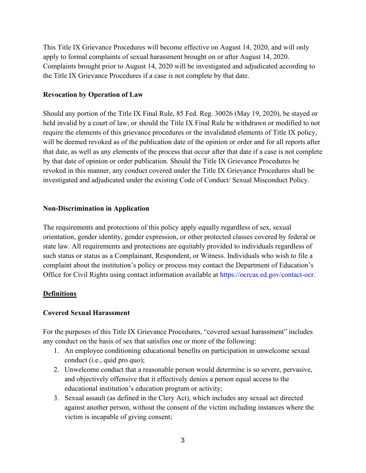This Title IX Grievance Procedures will become effective on August 14, 2020, and will only apply to formal complaints of sexual harassment brought on or after August 14, 2020. Complaints brought prior to August 14, 2020 will be investigated and adjudicated according to the Title IX Grievance Procedures if a case is not complete by that date.

#### **Revocation by Operation of Law**

Should any portion of the Title IX Final Rule, 85 Fed. Reg. 30026 (May 19, 2020), be stayed or held invalid by a court of law, or should the Title IX Final Rule be withdrawn or modified to not require the elements of this grievance procedures or the invalidated elements of Title IX policy, will be deemed revoked as of the publication date of the opinion or order and for all reports after that date, as well as any elements of the process that occur after that date if a case is not complete by that date of opinion or order publication. Should the Title IX Grievance Procedures be revoked in this manner, any conduct covered under the Title IX Grievance Procedures shall be investigated and adjudicated under the existing Code of Conduct/ Sexual Misconduct Policy.

#### **Non-Discrimination in Application**

The requirements and protections of this policy apply equally regardless of sex, sexual orientation, gender identity, gender expression, or other protected classes covered by federal or state law. All requirements and protections are equitably provided to individuals regardless of such status or status as a Complainant, Respondent, or Witness. Individuals who wish to file a complaint about the institution's policy or process may contact the Department of Education's Office for Civil Rights using contact information available at [https://ocrcas.ed.gov/contact-ocr.](https://ocrcas.ed.gov/contact-ocr)

### **Definitions**

### **Covered Sexual Harassment**

For the purposes of this Title IX Grievance Procedures, "covered sexual harassment" includes any conduct on the basis of sex that satisfies one or more of the following:

- 1. An employee conditioning educational benefits on participation in unwelcome sexual conduct (i.e., quid pro quo);
- 2. Unwelcome conduct that a reasonable person would determine is so severe, pervasive, and objectively offensive that it effectively denies a person equal access to the educational institution's education program or activity;
- 3. Sexual assault (as defined in the Clery Act), which includes any sexual act directed against another person, without the consent of the victim including instances where the victim is incapable of giving consent;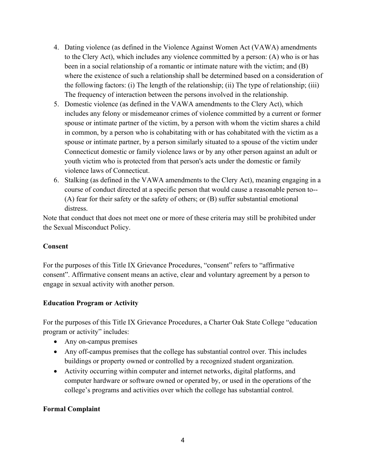- 4. Dating violence (as defined in the Violence Against Women Act (VAWA) amendments to the Clery Act), which includes any violence committed by a person: (A) who is or has been in a social relationship of a romantic or intimate nature with the victim; and (B) where the existence of such a relationship shall be determined based on a consideration of the following factors: (i) The length of the relationship; (ii) The type of relationship; (iii) The frequency of interaction between the persons involved in the relationship.
- 5. Domestic violence (as defined in the VAWA amendments to the Clery Act), which includes any felony or misdemeanor crimes of violence committed by a current or former spouse or intimate partner of the victim, by a person with whom the victim shares a child in common, by a person who is cohabitating with or has cohabitated with the victim as a spouse or intimate partner, by a person similarly situated to a spouse of the victim under Connecticut domestic or family violence laws or by any other person against an adult or youth victim who is protected from that person's acts under the domestic or family violence laws of Connecticut.
- 6. Stalking (as defined in the VAWA amendments to the Clery Act), meaning engaging in a course of conduct directed at a specific person that would cause a reasonable person to-- (A) fear for their safety or the safety of others; or (B) suffer substantial emotional distress.

Note that conduct that does not meet one or more of these criteria may still be prohibited under the Sexual Misconduct Policy.

### **Consent**

For the purposes of this Title IX Grievance Procedures, "consent" refers to "affirmative consent". Affirmative consent means an active, clear and voluntary agreement by a person to engage in sexual activity with another person.

### **Education Program or Activity**

For the purposes of this Title IX Grievance Procedures, a Charter Oak State College "education program or activity" includes:

- Any on-campus premises
- Any off-campus premises that the college has substantial control over. This includes buildings or property owned or controlled by a recognized student organization.
- Activity occurring within computer and internet networks, digital platforms, and computer hardware or software owned or operated by, or used in the operations of the college's programs and activities over which the college has substantial control.

### **Formal Complaint**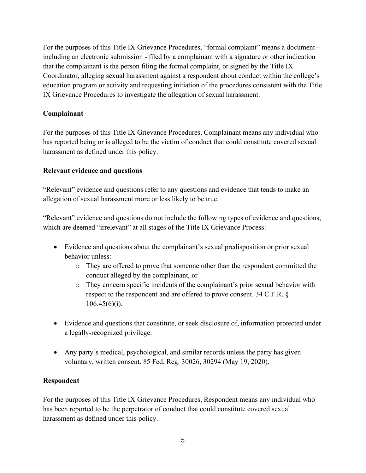For the purposes of this Title IX Grievance Procedures, "formal complaint" means a document – including an electronic submission - filed by a complainant with a signature or other indication that the complainant is the person filing the formal complaint, or signed by the Title IX Coordinator, alleging sexual harassment against a respondent about conduct within the college's education program or activity and requesting initiation of the procedures consistent with the Title IX Grievance Procedures to investigate the allegation of sexual harassment.

## **Complainant**

For the purposes of this Title IX Grievance Procedures, Complainant means any individual who has reported being or is alleged to be the victim of conduct that could constitute covered sexual harassment as defined under this policy.

## **Relevant evidence and questions**

"Relevant" evidence and questions refer to any questions and evidence that tends to make an allegation of sexual harassment more or less likely to be true.

"Relevant" evidence and questions do not include the following types of evidence and questions, which are deemed "irrelevant" at all stages of the Title IX Grievance Process:

- Evidence and questions about the complainant's sexual predisposition or prior sexual behavior unless:
	- o They are offered to prove that someone other than the respondent committed the conduct alleged by the complainant, or
	- o They concern specific incidents of the complainant's prior sexual behavior with respect to the respondent and are offered to prove consent. 34 C.F.R. §  $106.45(6)(i)$ .
- Evidence and questions that constitute, or seek disclosure of, information protected under a legally-recognized privilege.
- Any party's medical, psychological, and similar records unless the party has given voluntary, written consent. 85 Fed. Reg. 30026, 30294 (May 19, 2020).

## **Respondent**

For the purposes of this Title IX Grievance Procedures, Respondent means any individual who has been reported to be the perpetrator of conduct that could constitute covered sexual harassment as defined under this policy.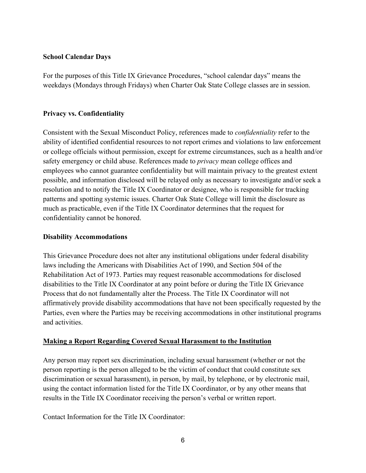#### **School Calendar Days**

For the purposes of this Title IX Grievance Procedures, "school calendar days" means the weekdays (Mondays through Fridays) when Charter Oak State College classes are in session.

#### **Privacy vs. Confidentiality**

Consistent with the Sexual Misconduct Policy, references made to *confidentiality* refer to the ability of identified confidential resources to not report crimes and violations to law enforcement or college officials without permission, except for extreme circumstances, such as a health and/or safety emergency or child abuse. References made to *privacy* mean college offices and employees who cannot guarantee confidentiality but will maintain privacy to the greatest extent possible, and information disclosed will be relayed only as necessary to investigate and/or seek a resolution and to notify the Title IX Coordinator or designee, who is responsible for tracking patterns and spotting systemic issues. Charter Oak State College will limit the disclosure as much as practicable, even if the Title IX Coordinator determines that the request for confidentiality cannot be honored.

#### **Disability Accommodations**

This Grievance Procedure does not alter any institutional obligations under federal disability laws including the Americans with Disabilities Act of 1990, and Section 504 of the Rehabilitation Act of 1973. Parties may request reasonable accommodations for disclosed disabilities to the Title IX Coordinator at any point before or during the Title IX Grievance Process that do not fundamentally alter the Process. The Title IX Coordinator will not affirmatively provide disability accommodations that have not been specifically requested by the Parties, even where the Parties may be receiving accommodations in other institutional programs and activities.

#### **Making a Report Regarding Covered Sexual Harassment to the Institution**

Any person may report sex discrimination, including sexual harassment (whether or not the person reporting is the person alleged to be the victim of conduct that could constitute sex discrimination or sexual harassment), in person, by mail, by telephone, or by electronic mail, using the contact information listed for the Title IX Coordinator, or by any other means that results in the Title IX Coordinator receiving the person's verbal or written report.

Contact Information for the Title IX Coordinator: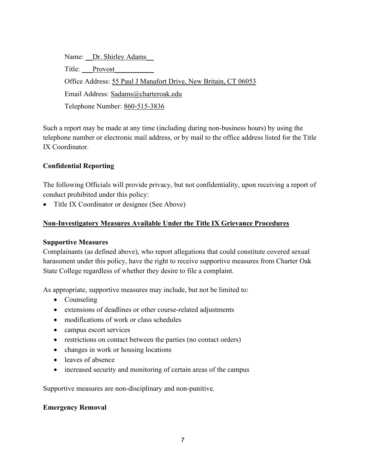Name: Dr. Shirley Adams Title: Provost Office Address: 55 Paul J Manafort Drive, New Britain, CT 06053 Email Address: Sadams@charteroak.edu Telephone Number: 860-515-3836

Such a report may be made at any time (including during non-business hours) by using the telephone number or electronic mail address, or by mail to the office address listed for the Title IX Coordinator.

### **Confidential Reporting**

The following Officials will provide privacy, but not confidentiality, upon receiving a report of conduct prohibited under this policy:

• Title IX Coordinator or designee (See Above)

### **Non-Investigatory Measures Available Under the Title IX Grievance Procedures**

#### **Supportive Measures**

Complainants (as defined above), who report allegations that could constitute covered sexual harassment under this policy, have the right to receive supportive measures from Charter Oak State College regardless of whether they desire to file a complaint.

As appropriate, supportive measures may include, but not be limited to:

- Counseling
- extensions of deadlines or other course-related adjustments
- modifications of work or class schedules
- campus escort services
- restrictions on contact between the parties (no contact orders)
- changes in work or housing locations
- leaves of absence
- increased security and monitoring of certain areas of the campus

Supportive measures are non-disciplinary and non-punitive.

### **Emergency Removal**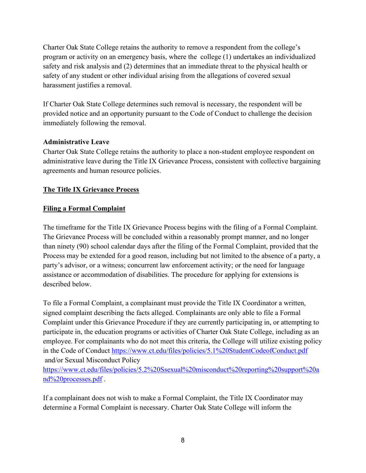Charter Oak State College retains the authority to remove a respondent from the college's program or activity on an emergency basis, where the college (1) undertakes an individualized safety and risk analysis and (2) determines that an immediate threat to the physical health or safety of any student or other individual arising from the allegations of covered sexual harassment justifies a removal.

If Charter Oak State College determines such removal is necessary, the respondent will be provided notice and an opportunity pursuant to the Code of Conduct to challenge the decision immediately following the removal.

### **Administrative Leave**

Charter Oak State College retains the authority to place a non-student employee respondent on administrative leave during the Title IX Grievance Process, consistent with collective bargaining agreements and human resource policies.

## **The Title IX Grievance Process**

### **Filing a Formal Complaint**

The timeframe for the Title IX Grievance Process begins with the filing of a Formal Complaint. The Grievance Process will be concluded within a reasonably prompt manner, and no longer than ninety (90) school calendar days after the filing of the Formal Complaint, provided that the Process may be extended for a good reason, including but not limited to the absence of a party, a party's advisor, or a witness; concurrent law enforcement activity; or the need for language assistance or accommodation of disabilities. The procedure for applying for extensions is described below.

To file a Formal Complaint, a complainant must provide the Title IX Coordinator a written, signed complaint describing the facts alleged. Complainants are only able to file a Formal Complaint under this Grievance Procedure if they are currently participating in, or attempting to participate in, the education programs or activities of Charter Oak State College, including as an employee. For complainants who do not meet this criteria, the College will utilize existing policy in the Code of Conduct <https://www.ct.edu/files/policies/5.1%20StudentCodeofConduct.pdf> and/or Sexual Misconduct Policy

[https://www.ct.edu/files/policies/5.2%20Ssexual%20misconduct%20reporting%20support%20a](https://www.ct.edu/files/policies/5.2%20Ssexual%20misconduct%20reporting%20support%20and%20processes.pdf) [nd%20processes.pdf](https://www.ct.edu/files/policies/5.2%20Ssexual%20misconduct%20reporting%20support%20and%20processes.pdf) .

If a complainant does not wish to make a Formal Complaint, the Title IX Coordinator may determine a Formal Complaint is necessary. Charter Oak State College will inform the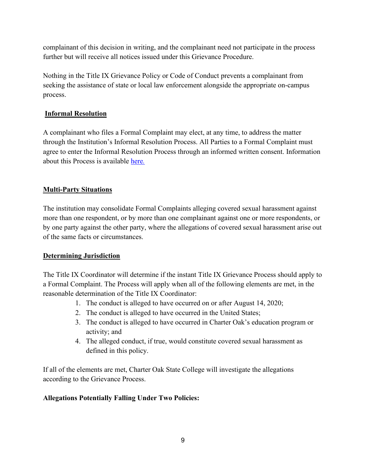complainant of this decision in writing, and the complainant need not participate in the process further but will receive all notices issued under this Grievance Procedure.

Nothing in the Title IX Grievance Policy or Code of Conduct prevents a complainant from seeking the assistance of state or local law enforcement alongside the appropriate on-campus process.

## **Informal Resolution**

A complainant who files a Formal Complaint may elect, at any time, to address the matter through the Institution's Informal Resolution Process. All Parties to a Formal Complaint must agree to enter the Informal Resolution Process through an informed written consent. Information about this Process is available [here](https://www.charteroak.edu/student-conduct-title-ix/Title_IX_Informal_Resolution_Procedure_for_Charter_Oak_State_College_and_System_2020.pdf)*.*

# **Multi-Party Situations**

The institution may consolidate Formal Complaints alleging covered sexual harassment against more than one respondent, or by more than one complainant against one or more respondents, or by one party against the other party, where the allegations of covered sexual harassment arise out of the same facts or circumstances.

## **Determining Jurisdiction**

The Title IX Coordinator will determine if the instant Title IX Grievance Process should apply to a Formal Complaint. The Process will apply when all of the following elements are met, in the reasonable determination of the Title IX Coordinator:

- 1. The conduct is alleged to have occurred on or after August 14, 2020;
- 2. The conduct is alleged to have occurred in the United States;
- 3. The conduct is alleged to have occurred in Charter Oak's education program or activity; and
- 4. The alleged conduct, if true, would constitute covered sexual harassment as defined in this policy.

If all of the elements are met, Charter Oak State College will investigate the allegations according to the Grievance Process.

## **Allegations Potentially Falling Under Two Policies:**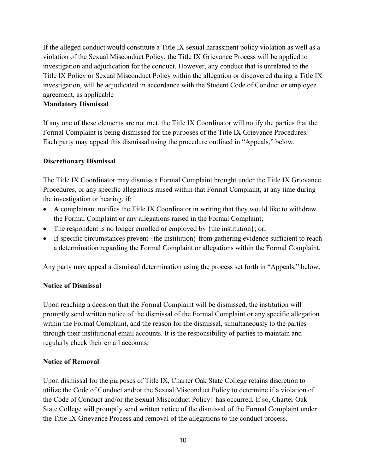If the alleged conduct would constitute a Title IX sexual harassment policy violation as well as a violation of the Sexual Misconduct Policy, the Title IX Grievance Process will be applied to investigation and adjudication for the conduct. However, any conduct that is unrelated to the Title IX Policy or Sexual Misconduct Policy within the allegation or discovered during a Title IX investigation, will be adjudicated in accordance with the Student Code of Conduct or employee agreement, as applicable

#### **Mandatory Dismissal**

If any one of these elements are not met, the Title IX Coordinator will notify the parties that the Formal Complaint is being dismissed for the purposes of the Title IX Grievance Procedures. Each party may appeal this dismissal using the procedure outlined in "Appeals," below.

#### **Discretionary Dismissal**

The Title IX Coordinator may dismiss a Formal Complaint brought under the Title IX Grievance Procedures, or any specific allegations raised within that Formal Complaint, at any time during the investigation or hearing, if:

- A complainant notifies the Title IX Coordinator in writing that they would like to withdraw the Formal Complaint or any allegations raised in the Formal Complaint;
- The respondent is no longer enrolled or employed by  $\{$ the institution $\}$ ; or,
- If specific circumstances prevent {the institution} from gathering evidence sufficient to reach a determination regarding the Formal Complaint or allegations within the Formal Complaint.

Any party may appeal a dismissal determination using the process set forth in "Appeals," below.

### **Notice of Dismissal**

Upon reaching a decision that the Formal Complaint will be dismissed, the institution will promptly send written notice of the dismissal of the Formal Complaint or any specific allegation within the Formal Complaint, and the reason for the dismissal, simultaneously to the parties through their institutional email accounts. It is the responsibility of parties to maintain and regularly check their email accounts.

#### **Notice of Removal**

Upon dismissal for the purposes of Title IX, Charter Oak State College retains discretion to utilize the Code of Conduct and/or the Sexual Misconduct Policy to determine if a violation of the Code of Conduct and/or the Sexual Misconduct Policy} has occurred. If so, Charter Oak State College will promptly send written notice of the dismissal of the Formal Complaint under the Title IX Grievance Process and removal of the allegations to the conduct process.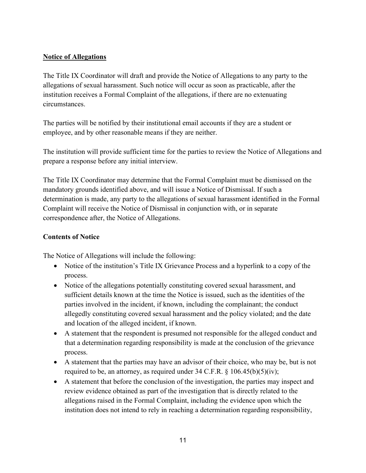### **Notice of Allegations**

The Title IX Coordinator will draft and provide the Notice of Allegations to any party to the allegations of sexual harassment. Such notice will occur as soon as practicable, after the institution receives a Formal Complaint of the allegations, if there are no extenuating circumstances.

The parties will be notified by their institutional email accounts if they are a student or employee, and by other reasonable means if they are neither.

The institution will provide sufficient time for the parties to review the Notice of Allegations and prepare a response before any initial interview.

The Title IX Coordinator may determine that the Formal Complaint must be dismissed on the mandatory grounds identified above, and will issue a Notice of Dismissal. If such a determination is made, any party to the allegations of sexual harassment identified in the Formal Complaint will receive the Notice of Dismissal in conjunction with, or in separate correspondence after, the Notice of Allegations.

### **Contents of Notice**

The Notice of Allegations will include the following:

- Notice of the institution's Title IX Grievance Process and a hyperlink to a copy of the process.
- Notice of the allegations potentially constituting covered sexual harassment, and sufficient details known at the time the Notice is issued, such as the identities of the parties involved in the incident, if known, including the complainant; the conduct allegedly constituting covered sexual harassment and the policy violated; and the date and location of the alleged incident, if known.
- A statement that the respondent is presumed not responsible for the alleged conduct and that a determination regarding responsibility is made at the conclusion of the grievance process.
- A statement that the parties may have an advisor of their choice, who may be, but is not required to be, an attorney, as required under  $34 \text{ C.F.R.}$  §  $106.45(b)(5)(iv)$ ;
- A statement that before the conclusion of the investigation, the parties may inspect and review evidence obtained as part of the investigation that is directly related to the allegations raised in the Formal Complaint, including the evidence upon which the institution does not intend to rely in reaching a determination regarding responsibility,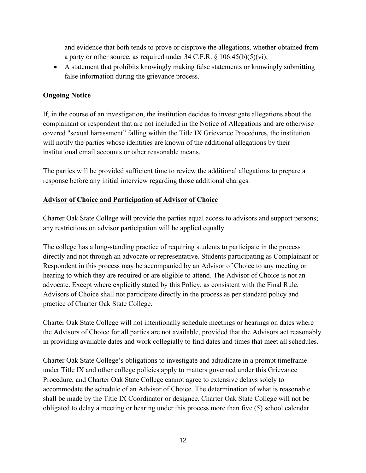and evidence that both tends to prove or disprove the allegations, whether obtained from a party or other source, as required under 34 C.F.R.  $\S$  106.45(b)(5)(vi);

• A statement that prohibits knowingly making false statements or knowingly submitting false information during the grievance process.

## **Ongoing Notice**

If, in the course of an investigation, the institution decides to investigate allegations about the complainant or respondent that are not included in the Notice of Allegations and are otherwise covered "sexual harassment" falling within the Title IX Grievance Procedures, the institution will notify the parties whose identities are known of the additional allegations by their institutional email accounts or other reasonable means.

The parties will be provided sufficient time to review the additional allegations to prepare a response before any initial interview regarding those additional charges.

### **Advisor of Choice and Participation of Advisor of Choice**

Charter Oak State College will provide the parties equal access to advisors and support persons; any restrictions on advisor participation will be applied equally.

The college has a long-standing practice of requiring students to participate in the process directly and not through an advocate or representative. Students participating as Complainant or Respondent in this process may be accompanied by an Advisor of Choice to any meeting or hearing to which they are required or are eligible to attend. The Advisor of Choice is not an advocate. Except where explicitly stated by this Policy, as consistent with the Final Rule, Advisors of Choice shall not participate directly in the process as per standard policy and practice of Charter Oak State College.

Charter Oak State College will not intentionally schedule meetings or hearings on dates where the Advisors of Choice for all parties are not available, provided that the Advisors act reasonably in providing available dates and work collegially to find dates and times that meet all schedules.

Charter Oak State College's obligations to investigate and adjudicate in a prompt timeframe under Title IX and other college policies apply to matters governed under this Grievance Procedure, and Charter Oak State College cannot agree to extensive delays solely to accommodate the schedule of an Advisor of Choice. The determination of what is reasonable shall be made by the Title IX Coordinator or designee. Charter Oak State College will not be obligated to delay a meeting or hearing under this process more than five (5) school calendar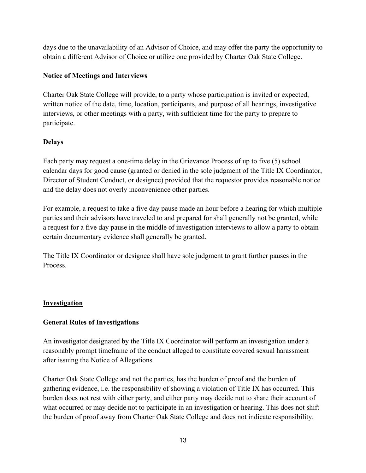days due to the unavailability of an Advisor of Choice, and may offer the party the opportunity to obtain a different Advisor of Choice or utilize one provided by Charter Oak State College.

### **Notice of Meetings and Interviews**

Charter Oak State College will provide, to a party whose participation is invited or expected, written notice of the date, time, location, participants, and purpose of all hearings, investigative interviews, or other meetings with a party, with sufficient time for the party to prepare to participate.

### **Delays**

Each party may request a one-time delay in the Grievance Process of up to five (5) school calendar days for good cause (granted or denied in the sole judgment of the Title IX Coordinator, Director of Student Conduct, or designee) provided that the requestor provides reasonable notice and the delay does not overly inconvenience other parties.

For example, a request to take a five day pause made an hour before a hearing for which multiple parties and their advisors have traveled to and prepared for shall generally not be granted, while a request for a five day pause in the middle of investigation interviews to allow a party to obtain certain documentary evidence shall generally be granted.

The Title IX Coordinator or designee shall have sole judgment to grant further pauses in the Process.

## **Investigation**

### **General Rules of Investigations**

An investigator designated by the Title IX Coordinator will perform an investigation under a reasonably prompt timeframe of the conduct alleged to constitute covered sexual harassment after issuing the Notice of Allegations.

Charter Oak State College and not the parties, has the burden of proof and the burden of gathering evidence, i.e. the responsibility of showing a violation of Title IX has occurred. This burden does not rest with either party, and either party may decide not to share their account of what occurred or may decide not to participate in an investigation or hearing. This does not shift the burden of proof away from Charter Oak State College and does not indicate responsibility.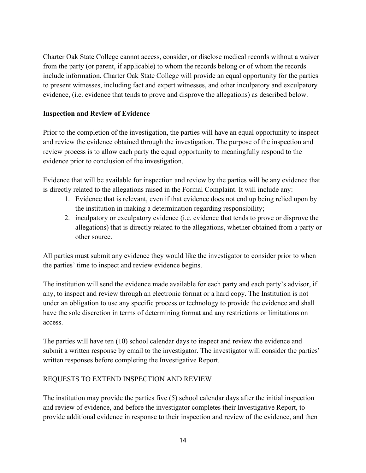Charter Oak State College cannot access, consider, or disclose medical records without a waiver from the party (or parent, if applicable) to whom the records belong or of whom the records include information. Charter Oak State College will provide an equal opportunity for the parties to present witnesses, including fact and expert witnesses, and other inculpatory and exculpatory evidence, (i.e. evidence that tends to prove and disprove the allegations) as described below.

### **Inspection and Review of Evidence**

Prior to the completion of the investigation, the parties will have an equal opportunity to inspect and review the evidence obtained through the investigation. The purpose of the inspection and review process is to allow each party the equal opportunity to meaningfully respond to the evidence prior to conclusion of the investigation.

Evidence that will be available for inspection and review by the parties will be any evidence that is directly related to the allegations raised in the Formal Complaint. It will include any:

- 1. Evidence that is relevant, even if that evidence does not end up being relied upon by the institution in making a determination regarding responsibility;
- 2. inculpatory or exculpatory evidence (i.e. evidence that tends to prove or disprove the allegations) that is directly related to the allegations, whether obtained from a party or other source.

All parties must submit any evidence they would like the investigator to consider prior to when the parties' time to inspect and review evidence begins.

The institution will send the evidence made available for each party and each party's advisor, if any, to inspect and review through an electronic format or a hard copy. The Institution is not under an obligation to use any specific process or technology to provide the evidence and shall have the sole discretion in terms of determining format and any restrictions or limitations on access.

The parties will have ten (10) school calendar days to inspect and review the evidence and submit a written response by email to the investigator. The investigator will consider the parties' written responses before completing the Investigative Report.

### REQUESTS TO EXTEND INSPECTION AND REVIEW

The institution may provide the parties five (5) school calendar days after the initial inspection and review of evidence, and before the investigator completes their Investigative Report, to provide additional evidence in response to their inspection and review of the evidence, and then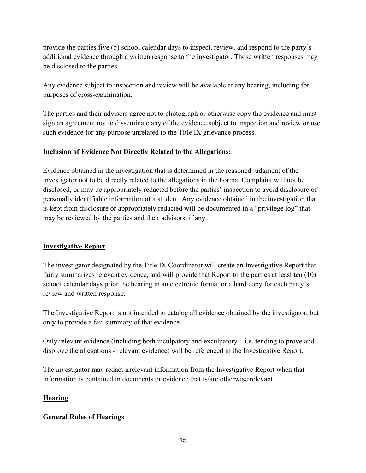provide the parties five (5) school calendar days to inspect, review, and respond to the party's additional evidence through a written response to the investigator. Those written responses may be disclosed to the parties.

Any evidence subject to inspection and review will be available at any hearing, including for purposes of cross-examination.

The parties and their advisors agree not to photograph or otherwise copy the evidence and must sign an agreement not to disseminate any of the evidence subject to inspection and review or use such evidence for any purpose unrelated to the Title IX grievance process.

### **Inclusion of Evidence Not Directly Related to the Allegations:**

Evidence obtained in the investigation that is determined in the reasoned judgment of the investigator not to be directly related to the allegations in the Formal Complaint will not be disclosed, or may be appropriately redacted before the parties' inspection to avoid disclosure of personally identifiable information of a student. Any evidence obtained in the investigation that is kept from disclosure or appropriately redacted will be documented in a "privilege log" that may be reviewed by the parties and their advisors, if any.

## **Investigative Report**

The investigator designated by the Title IX Coordinator will create an Investigative Report that fairly summarizes relevant evidence, and will provide that Report to the parties at least ten (10) school calendar days prior the hearing in an electronic format or a hard copy for each party's review and written response.

The Investigative Report is not intended to catalog all evidence obtained by the investigator, but only to provide a fair summary of that evidence.

Only relevant evidence (including both inculpatory and exculpatory – i.e. tending to prove and disprove the allegations - relevant evidence) will be referenced in the Investigative Report.

The investigator may redact irrelevant information from the Investigative Report when that information is contained in documents or evidence that is/are otherwise relevant.

## **Hearing**

### **General Rules of Hearings**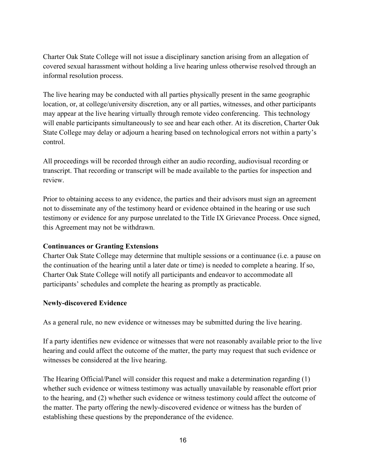Charter Oak State College will not issue a disciplinary sanction arising from an allegation of covered sexual harassment without holding a live hearing unless otherwise resolved through an informal resolution process.

The live hearing may be conducted with all parties physically present in the same geographic location, or, at college/university discretion, any or all parties, witnesses, and other participants may appear at the live hearing virtually through remote video conferencing. This technology will enable participants simultaneously to see and hear each other. At its discretion, Charter Oak State College may delay or adjourn a hearing based on technological errors not within a party's control.

All proceedings will be recorded through either an audio recording, audiovisual recording or transcript. That recording or transcript will be made available to the parties for inspection and review.

Prior to obtaining access to any evidence, the parties and their advisors must sign an agreement not to disseminate any of the testimony heard or evidence obtained in the hearing or use such testimony or evidence for any purpose unrelated to the Title IX Grievance Process. Once signed, this Agreement may not be withdrawn.

#### **Continuances or Granting Extensions**

Charter Oak State College may determine that multiple sessions or a continuance (i.e. a pause on the continuation of the hearing until a later date or time) is needed to complete a hearing. If so, Charter Oak State College will notify all participants and endeavor to accommodate all participants' schedules and complete the hearing as promptly as practicable.

#### **Newly-discovered Evidence**

As a general rule, no new evidence or witnesses may be submitted during the live hearing.

If a party identifies new evidence or witnesses that were not reasonably available prior to the live hearing and could affect the outcome of the matter, the party may request that such evidence or witnesses be considered at the live hearing.

The Hearing Official/Panel will consider this request and make a determination regarding (1) whether such evidence or witness testimony was actually unavailable by reasonable effort prior to the hearing, and (2) whether such evidence or witness testimony could affect the outcome of the matter. The party offering the newly-discovered evidence or witness has the burden of establishing these questions by the preponderance of the evidence.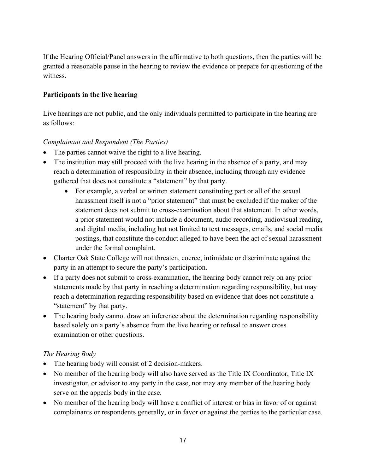If the Hearing Official/Panel answers in the affirmative to both questions, then the parties will be granted a reasonable pause in the hearing to review the evidence or prepare for questioning of the witness.

### **Participants in the live hearing**

Live hearings are not public, and the only individuals permitted to participate in the hearing are as follows:

### *Complainant and Respondent (The Parties)*

- The parties cannot waive the right to a live hearing.
- The institution may still proceed with the live hearing in the absence of a party, and may reach a determination of responsibility in their absence, including through any evidence gathered that does not constitute a "statement" by that party.
	- For example, a verbal or written statement constituting part or all of the sexual harassment itself is not a "prior statement" that must be excluded if the maker of the statement does not submit to cross-examination about that statement. In other words, a prior statement would not include a document, audio recording, audiovisual reading, and digital media, including but not limited to text messages, emails, and social media postings, that constitute the conduct alleged to have been the act of sexual harassment under the formal complaint.
- Charter Oak State College will not threaten, coerce, intimidate or discriminate against the party in an attempt to secure the party's participation.
- If a party does not submit to cross-examination, the hearing body cannot rely on any prior statements made by that party in reaching a determination regarding responsibility, but may reach a determination regarding responsibility based on evidence that does not constitute a "statement" by that party.
- The hearing body cannot draw an inference about the determination regarding responsibility based solely on a party's absence from the live hearing or refusal to answer cross examination or other questions.

### *The Hearing Body*

- The hearing body will consist of 2 decision-makers.
- No member of the hearing body will also have served as the Title IX Coordinator, Title IX investigator, or advisor to any party in the case, nor may any member of the hearing body serve on the appeals body in the case.
- No member of the hearing body will have a conflict of interest or bias in favor of or against complainants or respondents generally, or in favor or against the parties to the particular case.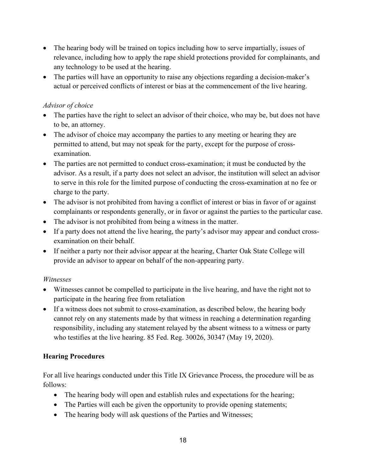- The hearing body will be trained on topics including how to serve impartially, issues of relevance, including how to apply the rape shield protections provided for complainants, and any technology to be used at the hearing.
- The parties will have an opportunity to raise any objections regarding a decision-maker's actual or perceived conflicts of interest or bias at the commencement of the live hearing.

### *Advisor of choice*

- The parties have the right to select an advisor of their choice, who may be, but does not have to be, an attorney.
- The advisor of choice may accompany the parties to any meeting or hearing they are permitted to attend, but may not speak for the party, except for the purpose of crossexamination.
- The parties are not permitted to conduct cross-examination; it must be conducted by the advisor. As a result, if a party does not select an advisor, the institution will select an advisor to serve in this role for the limited purpose of conducting the cross-examination at no fee or charge to the party.
- The advisor is not prohibited from having a conflict of interest or bias in favor of or against complainants or respondents generally, or in favor or against the parties to the particular case.
- The advisor is not prohibited from being a witness in the matter.
- If a party does not attend the live hearing, the party's advisor may appear and conduct crossexamination on their behalf.
- If neither a party nor their advisor appear at the hearing, Charter Oak State College will provide an advisor to appear on behalf of the non-appearing party.

### *Witnesses*

- Witnesses cannot be compelled to participate in the live hearing, and have the right not to participate in the hearing free from retaliation
- If a witness does not submit to cross-examination, as described below, the hearing body cannot rely on any statements made by that witness in reaching a determination regarding responsibility, including any statement relayed by the absent witness to a witness or party who testifies at the live hearing. 85 Fed. Reg. 30026, 30347 (May 19, 2020).

## **Hearing Procedures**

For all live hearings conducted under this Title IX Grievance Process, the procedure will be as follows:

- The hearing body will open and establish rules and expectations for the hearing;
- The Parties will each be given the opportunity to provide opening statements;
- The hearing body will ask questions of the Parties and Witnesses;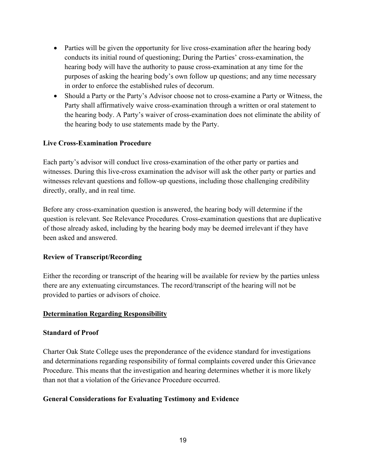- Parties will be given the opportunity for live cross-examination after the hearing body conducts its initial round of questioning; During the Parties' cross-examination, the hearing body will have the authority to pause cross-examination at any time for the purposes of asking the hearing body's own follow up questions; and any time necessary in order to enforce the established rules of decorum.
- Should a Party or the Party's Advisor choose not to cross-examine a Party or Witness, the Party shall affirmatively waive cross-examination through a written or oral statement to the hearing body. A Party's waiver of cross-examination does not eliminate the ability of the hearing body to use statements made by the Party.

### **Live Cross-Examination Procedure**

Each party's advisor will conduct live cross-examination of the other party or parties and witnesses. During this live-cross examination the advisor will ask the other party or parties and witnesses relevant questions and follow-up questions, including those challenging credibility directly, orally, and in real time.

Before any cross-examination question is answered, the hearing body will determine if the question is relevant. See Relevance Procedures*.* Cross-examination questions that are duplicative of those already asked, including by the hearing body may be deemed irrelevant if they have been asked and answered.

### **Review of Transcript/Recording**

Either the recording or transcript of the hearing will be available for review by the parties unless there are any extenuating circumstances. The record/transcript of the hearing will not be provided to parties or advisors of choice.

### **Determination Regarding Responsibility**

### **Standard of Proof**

Charter Oak State College uses the preponderance of the evidence standard for investigations and determinations regarding responsibility of formal complaints covered under this Grievance Procedure. This means that the investigation and hearing determines whether it is more likely than not that a violation of the Grievance Procedure occurred.

## **General Considerations for Evaluating Testimony and Evidence**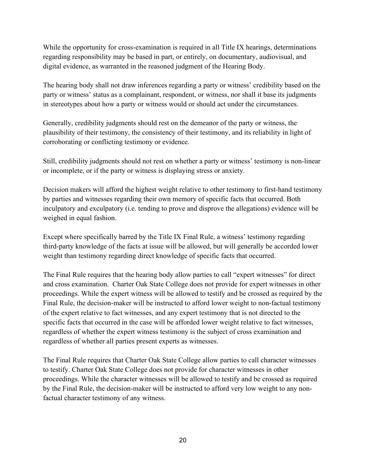While the opportunity for cross-examination is required in all Title IX hearings, determinations regarding responsibility may be based in part, or entirely, on documentary, audiovisual, and digital evidence, as warranted in the reasoned judgment of the Hearing Body.

The hearing body shall not draw inferences regarding a party or witness' credibility based on the party or witness' status as a complainant, respondent, or witness, nor shall it base its judgments in stereotypes about how a party or witness would or should act under the circumstances.

Generally, credibility judgments should rest on the demeanor of the party or witness, the plausibility of their testimony, the consistency of their testimony, and its reliability in light of corroborating or conflicting testimony or evidence.

Still, credibility judgments should not rest on whether a party or witness' testimony is non-linear or incomplete, or if the party or witness is displaying stress or anxiety.

Decision makers will afford the highest weight relative to other testimony to first-hand testimony by parties and witnesses regarding their own memory of specific facts that occurred. Both inculpatory and exculpatory (i.e. tending to prove and disprove the allegations) evidence will be weighed in equal fashion.

Except where specifically barred by the Title IX Final Rule, a witness' testimony regarding third-party knowledge of the facts at issue will be allowed, but will generally be accorded lower weight than testimony regarding direct knowledge of specific facts that occurred.

The Final Rule requires that the hearing body allow parties to call "expert witnesses" for direct and cross examination. Charter Oak State College does not provide for expert witnesses in other proceedings. While the expert witness will be allowed to testify and be crossed as required by the Final Rule, the decision-maker will be instructed to afford lower weight to non-factual testimony of the expert relative to fact witnesses, and any expert testimony that is not directed to the specific facts that occurred in the case will be afforded lower weight relative to fact witnesses, regardless of whether the expert witness testimony is the subject of cross examination and regardless of whether all parties present experts as witnesses.

The Final Rule requires that Charter Oak State College allow parties to call character witnesses to testify. Charter Oak State College does not provide for character witnesses in other proceedings. While the character witnesses will be allowed to testify and be crossed as required by the Final Rule, the decision-maker will be instructed to afford very low weight to any nonfactual character testimony of any witness.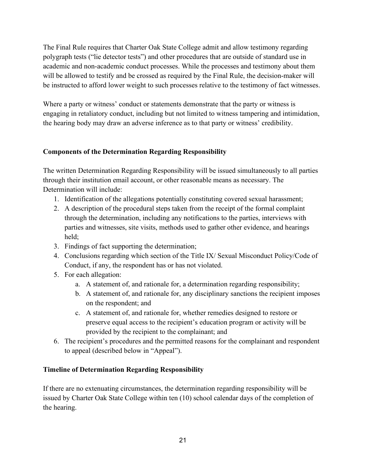The Final Rule requires that Charter Oak State College admit and allow testimony regarding polygraph tests ("lie detector tests") and other procedures that are outside of standard use in academic and non-academic conduct processes. While the processes and testimony about them will be allowed to testify and be crossed as required by the Final Rule, the decision-maker will be instructed to afford lower weight to such processes relative to the testimony of fact witnesses.

Where a party or witness' conduct or statements demonstrate that the party or witness is engaging in retaliatory conduct, including but not limited to witness tampering and intimidation, the hearing body may draw an adverse inference as to that party or witness' credibility.

### **Components of the Determination Regarding Responsibility**

The written Determination Regarding Responsibility will be issued simultaneously to all parties through their institution email account, or other reasonable means as necessary. The Determination will include:

- 1. Identification of the allegations potentially constituting covered sexual harassment;
- 2. A description of the procedural steps taken from the receipt of the formal complaint through the determination, including any notifications to the parties, interviews with parties and witnesses, site visits, methods used to gather other evidence, and hearings held;
- 3. Findings of fact supporting the determination;
- 4. Conclusions regarding which section of the Title IX/ Sexual Misconduct Policy/Code of Conduct, if any, the respondent has or has not violated.
- 5. For each allegation:
	- a. A statement of, and rationale for, a determination regarding responsibility;
	- b. A statement of, and rationale for, any disciplinary sanctions the recipient imposes on the respondent; and
	- c. A statement of, and rationale for, whether remedies designed to restore or preserve equal access to the recipient's education program or activity will be provided by the recipient to the complainant; and
- 6. The recipient's procedures and the permitted reasons for the complainant and respondent to appeal (described below in "Appeal").

# **Timeline of Determination Regarding Responsibility**

If there are no extenuating circumstances, the determination regarding responsibility will be issued by Charter Oak State College within ten (10) school calendar days of the completion of the hearing.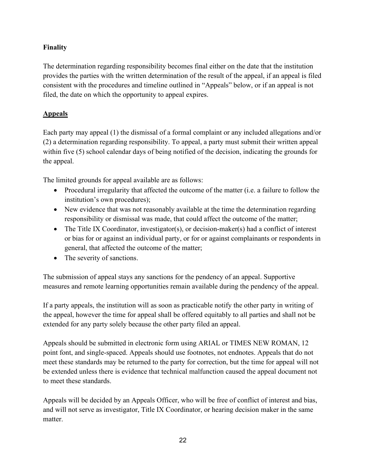# **Finality**

The determination regarding responsibility becomes final either on the date that the institution provides the parties with the written determination of the result of the appeal, if an appeal is filed consistent with the procedures and timeline outlined in "Appeals" below, or if an appeal is not filed, the date on which the opportunity to appeal expires.

# **Appeals**

Each party may appeal (1) the dismissal of a formal complaint or any included allegations and/or (2) a determination regarding responsibility. To appeal, a party must submit their written appeal within five (5) school calendar days of being notified of the decision, indicating the grounds for the appeal.

The limited grounds for appeal available are as follows:

- Procedural irregularity that affected the outcome of the matter (i.e. a failure to follow the institution's own procedures);
- New evidence that was not reasonably available at the time the determination regarding responsibility or dismissal was made, that could affect the outcome of the matter;
- The Title IX Coordinator, investigator(s), or decision-maker(s) had a conflict of interest or bias for or against an individual party, or for or against complainants or respondents in general, that affected the outcome of the matter;
- The severity of sanctions.

The submission of appeal stays any sanctions for the pendency of an appeal. Supportive measures and remote learning opportunities remain available during the pendency of the appeal.

If a party appeals, the institution will as soon as practicable notify the other party in writing of the appeal, however the time for appeal shall be offered equitably to all parties and shall not be extended for any party solely because the other party filed an appeal.

Appeals should be submitted in electronic form using ARIAL or TIMES NEW ROMAN, 12 point font, and single-spaced. Appeals should use footnotes, not endnotes. Appeals that do not meet these standards may be returned to the party for correction, but the time for appeal will not be extended unless there is evidence that technical malfunction caused the appeal document not to meet these standards.

Appeals will be decided by an Appeals Officer, who will be free of conflict of interest and bias, and will not serve as investigator, Title IX Coordinator, or hearing decision maker in the same matter.